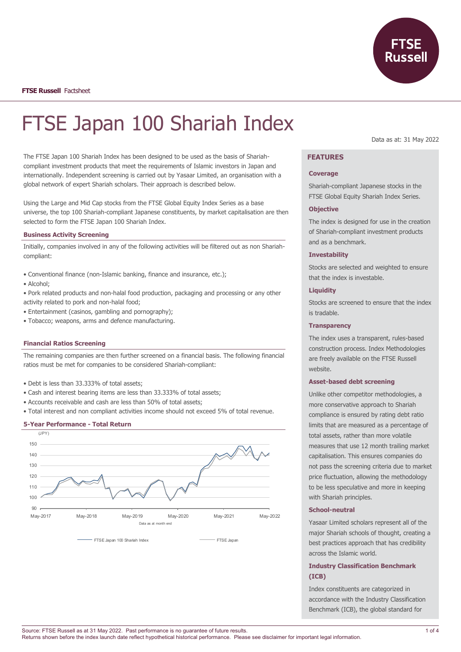

# FTSE Japan 100 Shariah Index

The FTSE Japan 100 Shariah Index has been designed to be used as the basis of Shariahcompliant investment products that meet the requirements of Islamic investors in Japan and internationally. Independent screening is carried out by Yasaar Limited, an organisation with a global network of expert Shariah scholars. Their approach is described below.

Using the Large and Mid Cap stocks from the FTSE Global Equity Index Series as a base universe, the top 100 Shariah-compliant Japanese constituents, by market capitalisation are then selected to form the FTSE Japan 100 Shariah Index.

#### **Business Activity Screening**

Initially, companies involved in any of the following activities will be filtered out as non Shariahcompliant:

- Conventional finance (non-Islamic banking, finance and insurance, etc.);
- Alcohol;
- Pork related products and non-halal food production, packaging and processing or any other activity related to pork and non-halal food;
- Entertainment (casinos, gambling and pornography);
- Tobacco; weapons, arms and defence manufacturing.

#### **Financial Ratios Screening**

The remaining companies are then further screened on a financial basis. The following financial ratios must be met for companies to be considered Shariah-compliant:

- Debt is less than 33.333% of total assets;
- Cash and interest bearing items are less than 33.333% of total assets;
- Accounts receivable and cash are less than 50% of total assets;
- Total interest and non compliant activities income should not exceed 5% of total revenue.

#### **5-Year Performance - Total Return**



Data as at: 31 May 2022

# **FEATURES**

#### **Coverage**

Shariah-compliant Japanese stocks in the FTSE Global Equity Shariah Index Series.

#### **Objective**

The index is designed for use in the creation of Shariah-compliant investment products and as a benchmark.

# **Investability**

Stocks are selected and weighted to ensure that the index is investable.

#### **Liquidity**

Stocks are screened to ensure that the index is tradable.

# **Transparency**

The index uses a transparent, rules-based construction process. Index Methodologies are freely available on the FTSE Russell website.

# **Asset-based debt screening**

Unlike other competitor methodologies, a more conservative approach to Shariah compliance is ensured by rating debt ratio limits that are measured as a percentage of total assets, rather than more volatile measures that use 12 month trailing market capitalisation. This ensures companies do not pass the screening criteria due to market price fluctuation, allowing the methodology to be less speculative and more in keeping with Shariah principles.

# **School-neutral**

Yasaar Limited scholars represent all of the major Shariah schools of thought, creating a best practices approach that has credibility across the Islamic world.

# **Industry Classification Benchmark (ICB)**

Index constituents are categorized in accordance with the Industry Classification Benchmark (ICB), the global standard for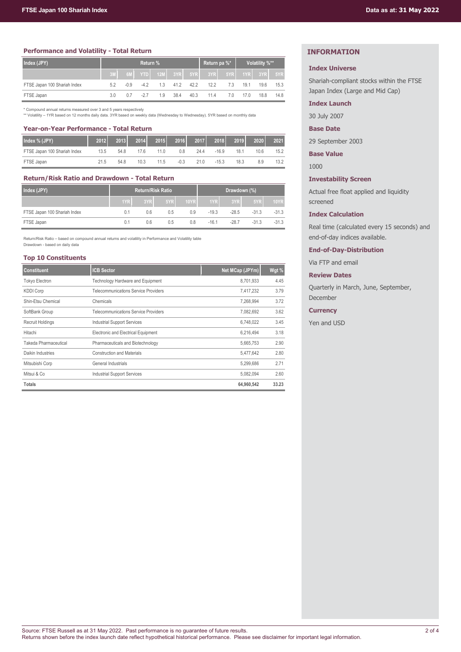# **Performance and Volatility - Total Return**

| Index (JPY)                  | <b>Return %</b> |        |        |     |      | Return pa %* |                            | Volatility %** |      |               |      |
|------------------------------|-----------------|--------|--------|-----|------|--------------|----------------------------|----------------|------|---------------|------|
|                              |                 | 6M     |        |     |      |              | <b>YTD</b> 12M 3YR 5YR 3YR | 5YR            |      | $1YR$ 3YR 5YR |      |
| FTSE Japan 100 Shariah Index | 5.2             | $-0.9$ | $-4.2$ | 1.3 | 41.2 | 42.2         | 12.2                       | 7.3            | 19.1 | 19.6          | 15.3 |
| FTSE Japan                   | 3.0             | 0.7    |        | 1.9 | 38.4 | 40.3         | 11.4                       | 7.0            | 17.0 | 18.8          | 14.8 |

\* Compound annual returns measured over 3 and 5 years respectively \*\* Volatility – 1YR based on 12 months daily data. 3YR based on weekly data (Wednesday to Wednesday). 5YR based on monthly data

#### **Year-on-Year Performance - Total Return**

| Index % (JPY)                | 2012 | 2013 | 2014 |      | 2015 2016 | 2017 | 2018    | 2019 | 2020 | 2021 |
|------------------------------|------|------|------|------|-----------|------|---------|------|------|------|
| FTSE Japan 100 Shariah Index | 13.5 | 54.8 | 176  | 11.0 | 0.8       | 24.4 | $-16.9$ | 18.1 | 10.6 | 15.2 |
| FTSE Japan                   | 21.5 | 54 8 | 10.3 | 11.5 | $-0.3$    | 21 O | $-15.3$ | 18.3 | 8.9  | 13.2 |

## **Return/Risk Ratio and Drawdown - Total Return**

| Index (JPY)                  | <b>Return/Risk Ratio</b> |     |     |      | Drawdown (%) |         |         |             |
|------------------------------|--------------------------|-----|-----|------|--------------|---------|---------|-------------|
|                              | 1YR                      | 3YR | 5YR | 10YR | 1YR          | 3YR     | 5YR     | <b>10YR</b> |
| FTSE Japan 100 Shariah Index | 0.1                      | 0.6 | 0.5 | 0.9  | $-19.3$      | $-28.5$ | $-31.3$ | $-31.3$     |
| FTSE Japan                   | 0.1                      | 0.6 | 0.5 | 0.8  | $-16.1$      | -28.7   | $-31.3$ | $-31.3$     |

Return/Risk Ratio – based on compound annual returns and volatility in Performance and Volatility table Drawdown - based on daily data

# **Top 10 Constituents**

| <b>Constituent</b>      | <b>ICB Sector</b>                    | Net MCap (JPYm) | Wgt % |
|-------------------------|--------------------------------------|-----------------|-------|
| Tokyo Electron          | Technology Hardware and Equipment    | 8.701.933       | 4.45  |
| <b>KDDI Corp</b>        | Telecommunications Service Providers | 7.417.232       | 3.79  |
| Shin-Etsu Chemical      | Chemicals                            | 7.268.994       | 3.72  |
| SoftBank Group          | Telecommunications Service Providers | 7.082.692       | 3.62  |
| <b>Recruit Holdings</b> | <b>Industrial Support Services</b>   | 6,748,022       | 3.45  |
| Hitachi                 | Electronic and Electrical Equipment  | 6.216.494       | 3.18  |
| Takeda Pharmaceutical   | Pharmaceuticals and Biotechnology    | 5,665,753       | 2.90  |
| Daikin Industries       | <b>Construction and Materials</b>    | 5,477,642       | 2.80  |
| Mitsubishi Corp         | General Industrials                  |                 | 2.71  |
| Mitsui & Co             | <b>Industrial Support Services</b>   | 5,082,094       | 2.60  |
| <b>Totals</b>           |                                      | 64,960,542      | 33.23 |

# **INFORMATION**

#### **Index Universe**

Shariah-compliant stocks within the FTSE Japan Index (Large and Mid Cap)

# **Index Launch**

30 July 2007

# **Base Date**

29 September 2003

**Base Value**

1000

# **Investability Screen**

Actual free float applied and liquidity screened

#### **Index Calculation**

Real time (calculated every 15 seconds) and end-of-day indices available.

# **End-of-Day-Distribution**

Via FTP and email

# **Review Dates**

Quarterly in March, June, September, December

#### **Currency**

Yen and USD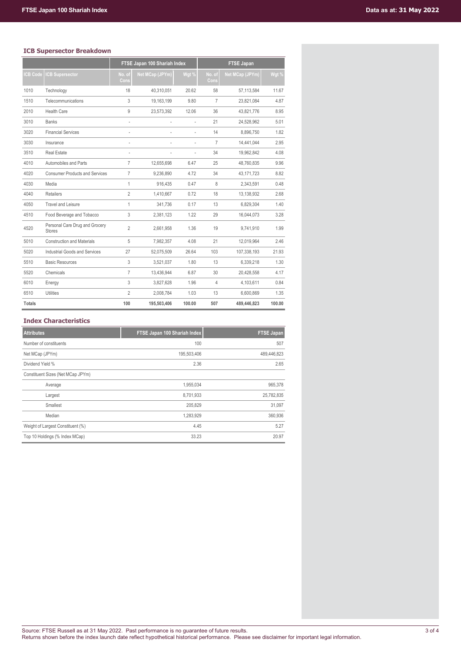# **ICB Supersector Breakdown**

|                |                                                 |                | FTSE Japan 100 Shariah Index |        | <b>FTSE Japan</b> |                 |        |  |  |
|----------------|-------------------------------------------------|----------------|------------------------------|--------|-------------------|-----------------|--------|--|--|
| <b>CB Code</b> | <b>ICB Supersector</b>                          | No. of<br>Cons | <b>Net MCap (JPYm)</b>       | Wgt %  | No. of<br>Cons    | Net MCap (JPYm) | Wgt %  |  |  |
| 1010           | Technology                                      | 18             | 40.310.051                   | 20.62  | 58                | 57,113,584      | 11.67  |  |  |
| 1510           | Telecommunications                              | 3              | 19,163,199                   | 9.80   | $\overline{7}$    | 23,821,084      | 4.87   |  |  |
| 2010           | <b>Health Care</b>                              | 9              | 23,573,392                   | 12.06  | 36                | 43.821.776      | 8.95   |  |  |
| 3010           | <b>Banks</b>                                    | $\overline{a}$ |                              |        | 21                | 24.528.962      | 5.01   |  |  |
| 3020           | <b>Financial Services</b>                       |                |                              |        | 14                | 8,896,750       | 1.82   |  |  |
| 3030           | Insurance                                       | ÷,             |                              |        | $\overline{7}$    | 14.441.044      | 2.95   |  |  |
| 3510           | <b>Real Estate</b>                              | ÷,             |                              |        | 34                | 19.962.842      | 4.08   |  |  |
| 4010           | Automobiles and Parts                           | $\overline{7}$ | 12,655,698                   | 6.47   | 25                | 48,760,835      | 9.96   |  |  |
| 4020           | <b>Consumer Products and Services</b>           | $\overline{7}$ | 9.236.890                    | 4.72   | 34                | 43,171,723      | 8.82   |  |  |
| 4030           | Media                                           | 1              | 916.435                      | 0.47   | 8                 | 2.343.591       | 0.48   |  |  |
| 4040           | <b>Retailers</b>                                | $\overline{2}$ | 1,410,667                    | 0.72   | 18                | 13,138,932      | 2.68   |  |  |
| 4050           | <b>Travel and Leisure</b>                       | 1              | 341.736                      | 0.17   | 13                | 6,829,304       | 1.40   |  |  |
| 4510           | Food Beverage and Tobacco                       | 3              | 2,381,123                    | 1.22   | 29                | 16,044,073      | 3.28   |  |  |
| 4520           | Personal Care Drug and Grocery<br><b>Stores</b> | $\overline{2}$ | 2,661,958                    | 1.36   | 19                | 9,741,910       | 1.99   |  |  |
| 5010           | <b>Construction and Materials</b>               | 5              | 7.982.357                    | 4.08   | 21                | 12.019.964      | 2.46   |  |  |
| 5020           | Industrial Goods and Services                   | 27             | 52,075,509                   | 26.64  | 103               | 107,338,193     | 21.93  |  |  |
| 5510           | <b>Basic Resources</b>                          | 3              | 3.521.037                    | 1.80   | 13                | 6.339.218       | 1.30   |  |  |
| 5520           | Chemicals                                       | $\overline{7}$ | 13.436.944                   | 6.87   | 30                | 20.428.558      | 4.17   |  |  |
| 6010           | Energy                                          | 3              | 3,827,628                    | 1.96   | $\overline{4}$    | 4,103,611       | 0.84   |  |  |
| 6510           | <b>Utilities</b>                                | $\overline{2}$ | 2.008.784                    | 1.03   | 13                | 6,600,869       | 1.35   |  |  |
| <b>Totals</b>  |                                                 | 100            | 195,503,406                  | 100.00 | 507               | 489,446,823     | 100.00 |  |  |

# **Index Characteristics**

| <b>Attributes</b>                 | FTSE Japan 100 Shariah Index | <b>FTSE Japan</b> |
|-----------------------------------|------------------------------|-------------------|
| Number of constituents            | 100                          | 507               |
| Net MCap (JPYm)                   | 195,503,406                  | 489,446,823       |
| Dividend Yield %                  | 2.36                         | 2.65              |
| Constituent Sizes (Net MCap JPYm) |                              |                   |
| Average                           | 1,955,034                    | 965,378           |
| Largest                           | 8,701,933                    | 25,782,835        |
| Smallest                          | 205,829                      | 31,097            |
| Median                            | 1,283,929                    | 360,936           |
| Weight of Largest Constituent (%) | 4.45                         | 5.27              |
| Top 10 Holdings (% Index MCap)    | 33.23                        | 20.97             |